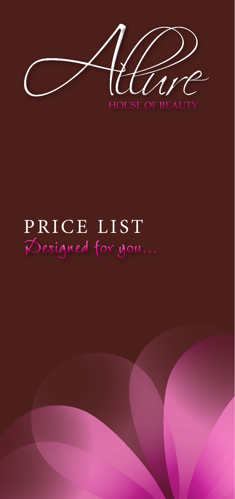

# **Designed for you...** PRICE LIST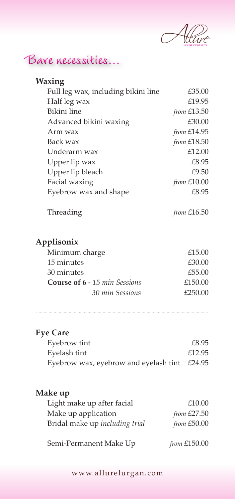

#### **Bare necessities...**

| Waxing                                |               |
|---------------------------------------|---------------|
| Full leg wax, including bikini line   | £35.00        |
| Half leg wax                          | £19.95        |
| Bikini line                           | from £13.50   |
| Advanced bikini waxing                | £30.00        |
| Arm wax                               | from £14.95   |
| Back wax                              | from £18.50   |
| Underarm wax                          | £12.00        |
| Upper lip wax                         | £8.95         |
| Upper lip bleach                      | £9.50         |
| Facial waxing                         | from £10.00   |
| Eyebrow wax and shape                 | £8.95         |
| Threading                             | from $£16.50$ |
| Applisonix                            |               |
| Minimum charge                        | £15.00        |
| 15 minutes                            | £30.00        |
| 30 minutes                            | £55.00        |
| <b>Course of 6 - 15 min Sessions</b>  | £150.00       |
| 30 min Sessions                       | £250.00       |
|                                       |               |
| <b>Eye Care</b>                       |               |
| Eyebrow tint                          | £8.95         |
| Eyelash tint                          | £12.95        |
| Eyebrow wax, eyebrow and eyelash tint | £24.95        |
|                                       |               |

#### **Make up**

| Light make up after facial     | £10.00         |
|--------------------------------|----------------|
| Make up application            | from $£27.50$  |
| Bridal make up including trial | from £50.00    |
| Semi-Permanent Make Up         | from $£150.00$ |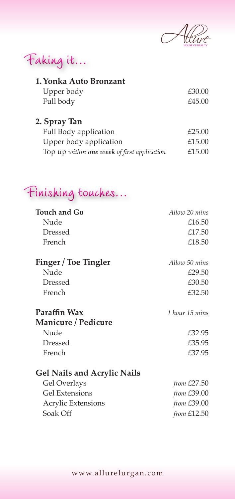

| Faking it |  |  |  |  |
|-----------|--|--|--|--|
|-----------|--|--|--|--|

| Upper body | £30.00 |
|------------|--------|
| Full body  | £45.00 |

| 2. Spray Tan                                |        |
|---------------------------------------------|--------|
| Full Body application                       | £25.00 |
| Upper body application                      | £15.00 |
| Top up within one week of first application | £15.00 |

### **Finishing touches...**

| <b>Touch and Go</b>                | Allow 20 mins  |
|------------------------------------|----------------|
| Nude                               | £16.50         |
| <b>Dressed</b>                     | £17.50         |
| French                             | £18.50         |
| Finger / Toe Tingler               | Allow 50 mins  |
| Nude                               | £29.50         |
| <b>Dressed</b>                     | £30.50         |
| French                             | £32.50         |
| Paraffin Wax                       | 1 hour 15 mins |
| Manicure / Pedicure                |                |
| Nude                               | £32.95         |
| Dressed                            | £35.95         |
| French                             | £37.95         |
| <b>Gel Nails and Acrylic Nails</b> |                |
| Gel Overlays                       | from $£27.50$  |
| <b>Gel Extensions</b>              | from $£39.00$  |
| <b>Acrylic Extensions</b>          | from £39.00    |
| Soak Off                           | from $£12.50$  |
|                                    |                |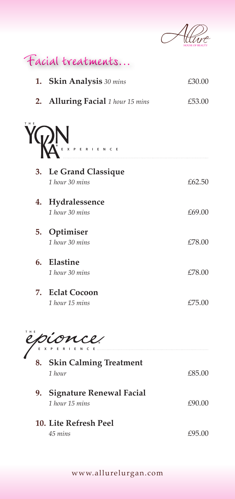

**Facial treatments...**

**1. Skin Analysis** *30 mins* £30.00 **2. Alluring Facial** *1 hour 15 mins* £53.00 **3. Le Grand Classique** *1 hour 30 mins* £62.50 **4. Hydralessence** *1 hour 30 mins* £69.00 **5. Optimiser** *1 hour 30 mins* £78.00 **6. Elastine** *1 hour 30 mins* £78.00 **7. Eclat Cocoon** *1 hour 15 mins* £75.00 **THE EXPERIENCE**

**THE** ERLENCE

| 8. . | <b>Skin Calming Treatment</b><br>1 hour           | £85.00 |
|------|---------------------------------------------------|--------|
| 9.   | <b>Signature Renewal Facial</b><br>1 hour 15 mins | £90.00 |
|      | 10. Lite Refresh Peel<br>45 mins                  | £95.00 |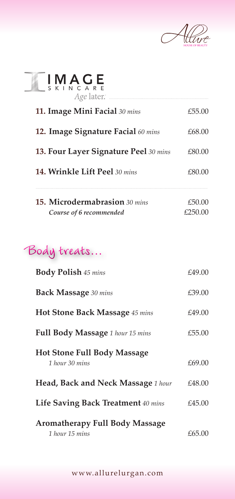

| $\prod_{S K + N C} A G E$<br>Age later.      |         |
|----------------------------------------------|---------|
| 11. Image Mini Facial 30 mins                | £55.00  |
| 12. Image Signature Facial 60 mins           | £68.00  |
| <b>13. Four Layer Signature Peel</b> 30 mins | £80.00  |
| <b>14. Wrinkle Lift Peel</b> 30 mins         | £80.00  |
| 15. Microdermabrasion 30 mins                | £50.00  |
| Course of 6 recommended                      | £250.00 |

## **Body treats...**

| <b>Body Polish 45 mins</b>                              | £49.00 |
|---------------------------------------------------------|--------|
| <b>Back Massage</b> 30 mins                             | £39.00 |
| <b>Hot Stone Back Massage</b> 45 mins                   | £49.00 |
| <b>Full Body Massage</b> 1 hour 15 mins                 | £55.00 |
| <b>Hot Stone Full Body Massage</b><br>1 hour 30 mins    | £69.00 |
| <b>Head, Back and Neck Massage</b> 1 hour               | £48.00 |
| Life Saving Back Treatment 40 mins                      | £45.00 |
| <b>Aromatherapy Full Body Massage</b><br>1 hour 15 mins | £65.00 |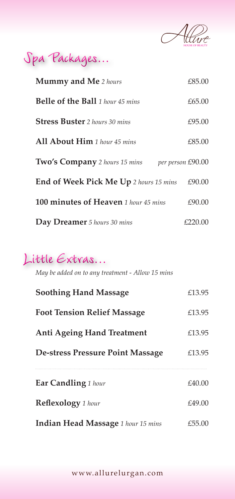

## **Spa Packages...**

| <b>Mummy and Me</b> 2 hours                     | £85.00  |
|-------------------------------------------------|---------|
| <b>Belle of the Ball</b> 1 hour 45 mins         | £65.00  |
| <b>Stress Buster</b> 2 hours 30 mins            | £95.00  |
| All About Him 1 hour 45 mins                    | £85.00  |
| Two's Company 2 hours 15 mins per person £90.00 |         |
| End of Week Pick Me Up 2 hours 15 mins          | £90.00  |
| <b>100 minutes of Heaven</b> 1 hour 45 mins     | £90.00  |
| Day Dreamer 5 hours 30 mins                     | £220.00 |

#### **Little Extras...**

*May be added on to any treatment - Allow 15 mins*

| <b>Soothing Hand Massage</b>              | £13.95 |
|-------------------------------------------|--------|
| <b>Foot Tension Relief Massage</b>        | £13.95 |
| <b>Anti Ageing Hand Treatment</b>         | £13.95 |
| De-stress Pressure Point Massage          | £13.95 |
| <b>Ear Candling</b> 1 hour                | £40.00 |
| Reflexology 1 hour                        | £49.00 |
| <b>Indian Head Massage</b> 1 hour 15 mins | £55.00 |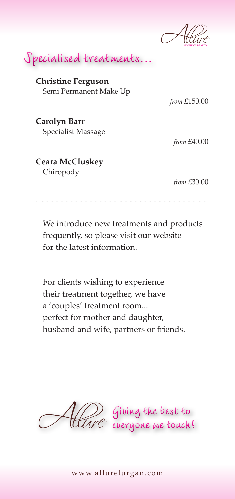

**Specialised treatments...**

**Christine Ferguson** Semi Permanent Make Up

*from* £150.00

**Carolyn Barr** Specialist Massage

*from* £40.00

#### **Ceara McCluskey** Chiropody

*from* £30.00

 We introduce new treatments and products frequently, so please visit our website for the latest information.

 For clients wishing to experience their treatment together, we have a 'couples' treatment room... perfect for mother and daughter, husband and wife, partners or friends.